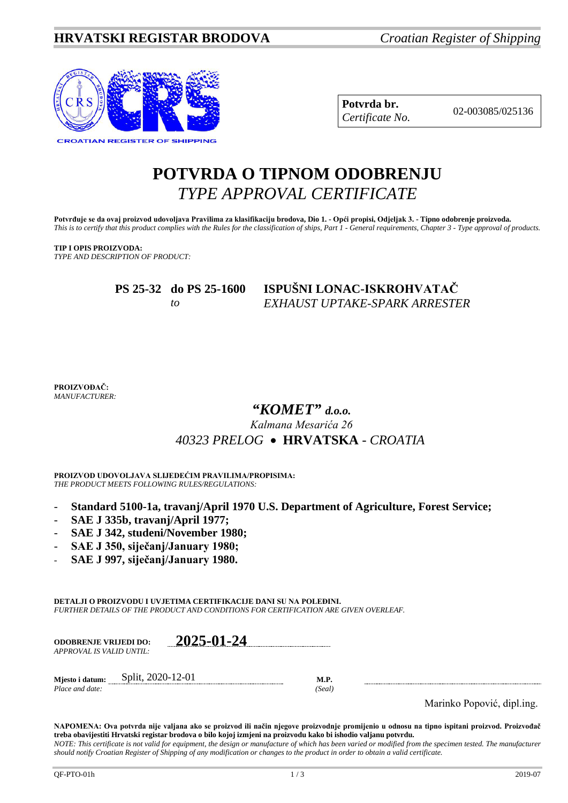

**Potvrda br.** 02-003085/025136 *Certificate No.*

# **POTVRDA O TIPNOM ODOBRENJU** *TYPE APPROVAL CERTIFICATE*

**Potvrđuje se da ovaj proizvod udovoljava Pravilima za klasifikaciju brodova, Dio 1. - Opći propisi, Odjeljak 3. - Tipno odobrenje proizvoda.** *This is to certify that this product complies with the Rules for the classification of ships, Part 1 - General requirements, Chapter 3 - Type approval of products.*

### **TIP I OPIS PROIZVODA:**

*TYPE AND DESCRIPTION OF PRODUCT:*

| PS 25-32 do PS 25-1600 |    | ISPUŠNI LONAC-ISKROHVATAČ     |  |
|------------------------|----|-------------------------------|--|
|                        | tΩ | EXHAUST UPTAKE-SPARK ARRESTER |  |

**PROIZVOĐAČ:** *MANUFACTURER:*

# *"KOMET" d.o.o.*

## *Kalmana Mesarića 26 40323 PRELOG* •**HRVATSKA** *- CROATIA*

**PROIZVOD UDOVOLJAVA SLIJEDEĆIM PRAVILIMA/PROPISIMA:** *THE PRODUCT MEETS FOLLOWING RULES/REGULATIONS:*

- **Standard 5100-1a, travanj/April 1970 U.S. Department of Agriculture, Forest Service;**
- **SAE J 335b, travanj/April 1977;**
- **SAE J 342, studeni/November 1980;**
- **SAE J 350, siječanj/January 1980;**
- **SAE J 997, siječanj/January 1980.**

**DETALJI O PROIZVODU I UVJETIMA CERTIFIKACIJE DANI SU NA POLEĐINI.** *FURTHER DETAILS OF THE PRODUCT AND CONDITIONS FOR CERTIFICATION ARE GIVEN OVERLEAF.*

| <b>ODOBRENJE VRLJEDI DO:</b> |                   | 2025-01-24 |        |
|------------------------------|-------------------|------------|--------|
| APPROVAL IS VALID UNTIL:     |                   |            |        |
| Miesto i datum:              | Split, 2020-12-01 |            | M.P.   |
| Place and date:              |                   |            | (Seal) |

Marinko Popović, dipl.ing.

**NAPOMENA: Ova potvrda nije valjana ako se proizvod ili način njegove proizvodnje promijenio u odnosu na tipno ispitani proizvod. Proizvođač treba obavijestiti Hrvatski registar brodova o bilo kojoj izmjeni na proizvodu kako bi ishodio valjanu potvrdu.** *NOTE: This certificate is not valid for equipment, the design or manufacture of which has been varied or modified from the specimen tested. The manufacturer should notify Croatian Register of Shipping of any modification or changes to the product in order to obtain a valid certificate.*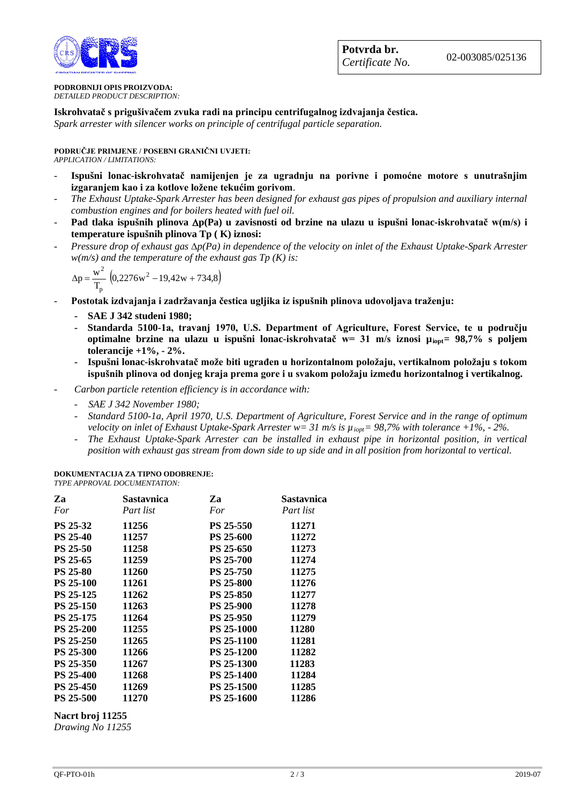

#### **PODROBNIJI OPIS PROIZVODA:** *DETAILED PRODUCT DESCRIPTION:*

**Iskrohvatač s prigušivačem zvuka radi na principu centrifugalnog izdvajanja čestica.** 

*Spark arrester with silencer works on principle of centrifugal particle separation.*

**PODRUČJE PRIMJENE / POSEBNI GRANIČNI UVJETI:** *APPLICATION / LIMITATIONS:*

- **Ispušni lonac-iskrohvatač namijenjen je za ugradnju na porivne i pomoćne motore s unutrašnjim izgaranjem kao i za kotlove ložene tekućim gorivom**.
- *The Exhaust Uptake-Spark Arrester has been designed for exhaust gas pipes of propulsion and auxiliary internal combustion engines and for boilers heated with fuel oil.*
- **Pad tlaka ispušnih plinova** ∆**p(Pa) u zavisnosti od brzine na ulazu u ispušni lonac-iskrohvatač w(m/s) i temperature ispušnih plinova Tp ( K) iznosi:**
- *Pressure drop of exhaust gas* ∆*p(Pa) in dependence of the velocity on inlet of the Exhaust Uptake-Spark Arrester w(m/s) and the temperature of the exhaust gas Tp (K) is:*

$$
\Delta p = \frac{w^2}{T_p} \left( 0.2276w^2 - 19.42w + 734.8 \right)
$$

- **Postotak izdvajanja i zadržavanja čestica ugljika iz ispušnih plinova udovoljava traženju:**
	- **- SAE J 342 studeni 1980;**
	- **- Standarda 5100-1a, travanj 1970, U.S. Department of Agriculture, Forest Service, te u području optimalne brzine na ulazu u ispušni lonac-iskrohvatač w= 31 m/s iznosi µiopt= 98,7% s poljem tolerancije +1%, - 2%.**
	- **- Ispušni lonac-iskrohvatač može biti ugrađen u horizontalnom položaju, vertikalnom položaju s tokom ispušnih plinova od donjeg kraja prema gore i u svakom položaju između horizontalnog i vertikalnog.**
- *- Carbon particle retention efficiency is in accordance with:*
	- *- SAE J 342 November 1980;*
	- *- Standard 5100-1a, April 1970, U.S. Department of Agriculture, Forest Service and in the range of optimum velocity on inlet of Exhaust Uptake-Spark Arrester w= 31 m/s is µiopt= 98,7% with tolerance +1%, - 2%.*
	- *- The Exhaust Uptake-Spark Arrester can be installed in exhaust pipe in horizontal position, in vertical position with exhaust gas stream from down side to up side and in all position from horizontal to vertical.*

#### **DOKUMENTACIJA ZA TIPNO ODOBRENJE:** *TYPE APPROVAL DOCUMENTATION:*

| Za               | Sastavnica | Za                | Sastavnica |
|------------------|------------|-------------------|------------|
| For              | Part list  | For               | Part list  |
| <b>PS 25-32</b>  | 11256      | <b>PS 25-550</b>  | 11271      |
| <b>PS 25-40</b>  | 11257      | <b>PS 25-600</b>  | 11272      |
| <b>PS 25-50</b>  | 11258      | <b>PS 25-650</b>  | 11273      |
| <b>PS 25-65</b>  | 11259      | <b>PS 25-700</b>  | 11274      |
| <b>PS 25-80</b>  | 11260      | <b>PS 25-750</b>  | 11275      |
| <b>PS 25-100</b> | 11261      | <b>PS 25-800</b>  | 11276      |
| <b>PS 25-125</b> | 11262      | <b>PS 25-850</b>  | 11277      |
| <b>PS 25-150</b> | 11263      | <b>PS 25-900</b>  | 11278      |
| <b>PS 25-175</b> | 11264      | <b>PS 25-950</b>  | 11279      |
| <b>PS 25-200</b> | 11255      | <b>PS 25-1000</b> | 11280      |
| <b>PS 25-250</b> | 11265      | <b>PS 25-1100</b> | 11281      |
| <b>PS 25-300</b> | 11266      | <b>PS 25-1200</b> | 11282      |
| <b>PS 25-350</b> | 11267      | <b>PS 25-1300</b> | 11283      |
| <b>PS 25-400</b> | 11268      | <b>PS 25-1400</b> | 11284      |
| PS 25-450        | 11269      | <b>PS 25-1500</b> | 11285      |
| <b>PS 25-500</b> | 11270      | <b>PS 25-1600</b> | 11286      |

### **Nacrt broj 11255**

*Drawing No 11255*